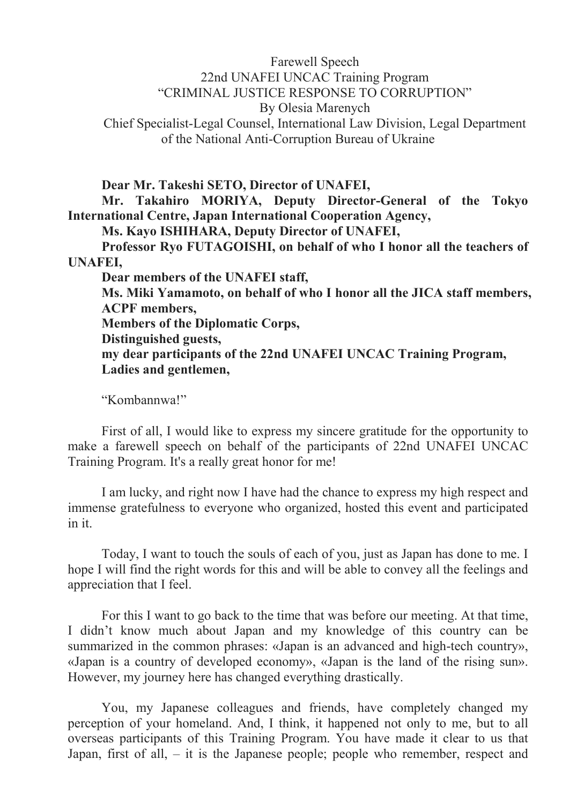## Farewell Speech 22nd UNAFEI UNCAC Training Program "CRIMINAL JUSTICE RESPONSE TO CORRUPTION" By Olesia Marenych Chief Specialist-Legal Counsel, International Law Division, Legal Department of the National Anti-Corruption Bureau of Ukraine

**Dear Mr. Takeshi SETO, Director of UNAFEI,**

**Mr. Takahiro MORIYA, Deputy Director-General of the Tokyo International Centre, Japan International Cooperation Agency,**

**Ms. Kayo ISHIHARA, Deputy Director of UNAFEI,**

**Professor Ryo FUTAGOISHI, on behalf of who I honor all the teachers of UNAFEI,**

**Dear members of the UNAFEI staff, Ms. Miki Yamamoto, on behalf of who I honor all the JICA staff members, ACPF members, Members of the Diplomatic Corps, Distinguished guests, my dear participants of the 22nd UNAFEI UNCAC Training Program, Ladies and gentlemen,**

"Kombannwa!"

First of all, I would like to express my sincere gratitude for the opportunity to make a farewell speech on behalf of the participants of 22nd UNAFEI UNCAC Training Program. It's a really great honor for me!

I am lucky, and right now I have had the chance to express my high respect and immense gratefulness to everyone who organized, hosted this event and participated in it.

Today, I want to touch the souls of each of you, just as Japan has done to me. I hope I will find the right words for this and will be able to convey all the feelings and appreciation that I feel.

For this I want to go back to the time that was before our meeting. At that time, I didn't know much about Japan and my knowledge of this country can be summarized in the common phrases: «Japan is an advanced and high-tech country», «Japan is a country of developed economy», «Japan is the land of the rising sun». However, my journey here has changed everything drastically.

You, my Japanese colleagues and friends, have completely changed my perception of your homeland. And, I think, it happened not only to me, but to all overseas participants of this Training Program. You have made it clear to us that Japan, first of all, – it is the Japanese people; people who remember, respect and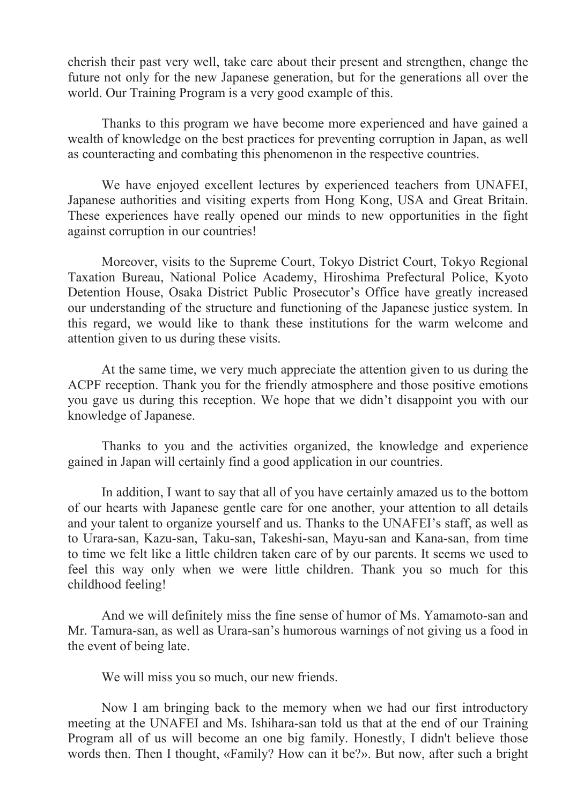cherish their past very well, take care about their present and strengthen, change the future not only for the new Japanese generation, but for the generations all over the world. Our Training Program is a very good example of this.

Thanks to this program we have become more experienced and have gained a wealth of knowledge on the best practices for preventing corruption in Japan, as well as counteracting and combating this phenomenon in the respective countries.

We have enjoyed excellent lectures by experienced teachers from UNAFEI, Japanese authorities and visiting experts from Hong Kong, USA and Great Britain. These experiences have really opened our minds to new opportunities in the fight against corruption in our countries!

Moreover, visits to the Supreme Court, Tokyo District Court, Tokyo Regional Taxation Bureau, National Police Academy, Hiroshima Prefectural Police, Kyoto Detention House, Osaka District Public Prosecutor's Office have greatly increased our understanding of the structure and functioning of the Japanese justice system. In this regard, we would like to thank these institutions for the warm welcome and attention given to us during these visits.

At the same time, we very much appreciate the attention given to us during the ACPF reception. Thank you for the friendly atmosphere and those positive emotions you gave us during this reception. We hope that we didn't disappoint you with our knowledge of Japanese.

Thanks to you and the activities organized, the knowledge and experience gained in Japan will certainly find a good application in our countries.

In addition, I want to say that all of you have certainly amazed us to the bottom of our hearts with Japanese gentle care for one another, your attention to all details and your talent to organize yourself and us. Thanks to the UNAFEI's staff, as well as to Urara-san, Kazu-san, Taku-san, Takeshi-san, Mayu-san and Kana-san, from time to time we felt like a little children taken care of by our parents. It seems we used to feel this way only when we were little children. Thank you so much for this childhood feeling!

And we will definitely miss the fine sense of humor of Ms. Yamamoto-san and Mr. Tamura-san, as well as Urara-san's humorous warnings of not giving us a food in the event of being late.

We will miss you so much, our new friends.

Now I am bringing back to the memory when we had our first introductory meeting at the UNAFEI and Ms. Ishihara-san told us that at the end of our Training Program all of us will become an one big family. Honestly, I didn't believe those words then. Then I thought, «Family? How can it be?». But now, after such a bright